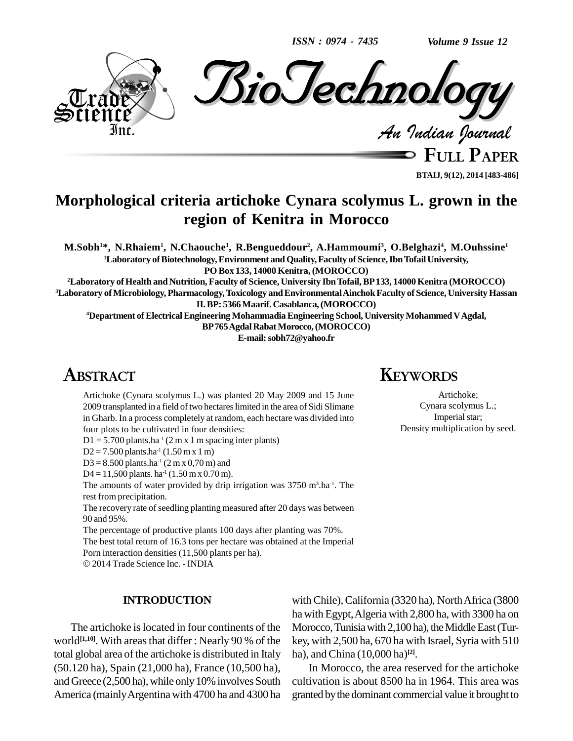*ISSN : 0974 - 7435*

*Volume 9 Issue 12*



**FULL PAPER BTAIJ, 9(12), 2014 [483-486]**

# **Morphological criteria artichoke Cynara scolymus L. grown in the region of Kenitra in Morocco**

M.Sobh<sup>1\*</sup>, N.Rhaiem<sup>1</sup>, N.Chaouche<sup>1</sup>, R.Bengueddour<sup>2</sup>, A.Hammoumi<sup>3</sup>, O.Belghazi<sup>4</sup>, M.Ouhssine<sup>1</sup> **<sup>1</sup>Laboratory ofBiotechnology,Environment andQuality,Faculty of Science,IbnTofailUniversity, PO Box 133,14000 Kenitra, (MOROCCO)**

**<sup>2</sup>Laboratory ofHealth and Nutrition, Faculty of Science, University IbnTofail,BP133, 14000Kenitra (MOROCCO) <sup>3</sup>Laboratory ofMicrobiology, Pharmacology,Toxicology andEnvironmentalAinchokFaculty ofScience, University Hassan II.BP: 5366Maarif. Casablanca,(MOROCCO)**

**<sup>4</sup>Department ofElectricalEngineering MohammadiaEngineering School, UniversityMohammedVAgdal, BP765AgdalRabatMorocco,(MOROCCO)**

**E-mail:[sobh72@yahoo.fr](mailto:sobh72@yahoo.fr)**

# **ABSTRACT**

Artichoke (Cynara scolymus L.) was planted 20 May 2009 and 15 June 2009 transplanted in a field of two hectares limited in the area of Sidi Slimane in Gharb. In a process completely at random, each hectare was divided into four plots to be cultivated in four densities:

 $D1 = 5.700$  plants.ha<sup>-1</sup> (2 m x 1 m spacing inter plants)

 $D2 = 7.500$  plants.ha<sup>-1</sup>  $(1.50 \text{ m} \text{ x } 1 \text{ m})$ 

 $D3 = 8.500$  plants.ha<sup>-1</sup> (2 m x 0,70 m) and

D4 = 11,500 plants. ha<sup>-1</sup> (1.50 m x 0.70 m).

The amounts of water provided by drip irrigation was  $3750 \text{ m}^3$ .ha<sup>-1</sup>. The rest from precipitation.

The recovery rate of seedling planting measured after 20 days was between 90 and 95%.

The percentage of productive plants 100 days after planting was 70%.

The best total return of 16.3 tons per hectare was obtained at the Imperial Porn interaction densities (11,500 plants per ha).

2014 Trade Science Inc. - INDIA

#### **INTRODUCTION**

The artichoke is located in four continents of the world<sup>[1,10]</sup>. With areas that differ : Nearly 90 % of the key, wi total global area of the artichoke is distributed in Italy (50.120 ha), Spain (21,000 ha), France (10,500 ha), and Greece  $(2,500$  ha), while only 10% involves South America (mainlyArgentina with 4700 ha and 4300 ha

with Chile), California (3320 ha), North Africa (3800 ha with Egypt,Algeria with 2,800 ha, with 3300 ha on Morocco, Tunisia with 2,100 ha), the Middle East (Turkey, with 2,500 ha, 670 ha with Israel, Syria with 510 ha), andChina (10,000 ha) **[2]**.

In Morocco, the area reserved for the artichoke cultivation is about 8500 ha in 1964. This area was granted by the dominant commercial value it brought to

## **KEYWORDS**

Artichoke; Cynara scolymus L.; Imperial star; Density multiplication by seed.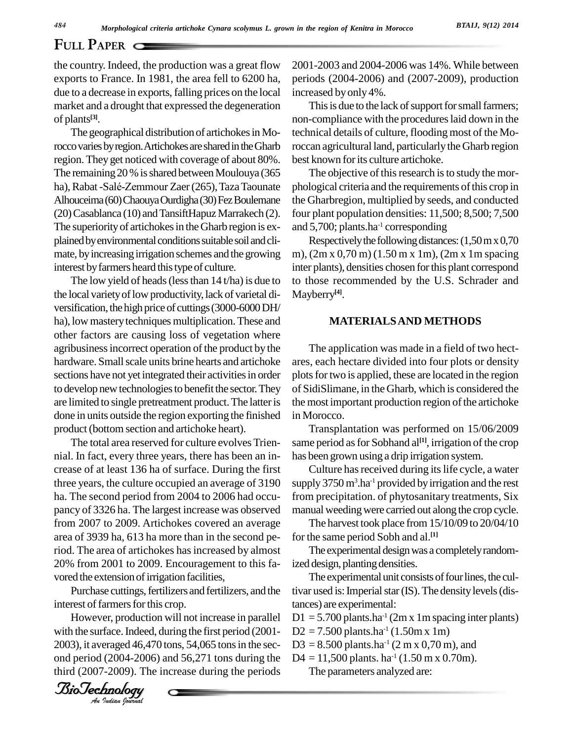## **FULL PAPER**

the country. Indeed, the production was a great flow exports to France. In 1981, the area fell to 6200 ha, due to a decrease in exports, falling prices on the local market and a drought that expressed the degeneration of plants **[3]**.

The geographical distribution of artichokes in Morocco varies by region. Artichokes are shared in the Gharb region. They get noticed with coverage of about 80%. The remaining 20 % is shared between Moulouya (365 ha), Rabat -Salé-Zemmour Zaer (265), Taza Taounate Alhouceima (60) Chaouya Ourdigha (30) Fez Boulemane (20) Casablanca (10) and TansiftHapuz Marrakech (2). The superiority of artichokes in the Gharb region is explained by environmental conditions suitable soil and climate, byincreasing irrigation schemes and the growing interest by farmers heard this type of culture.

The low yield of heads (less than  $14$  t/ha) is due to the local variety of low productivity, lack of varietal diversification, the high price of cuttings (3000-6000 DH/ ha), low mastery techniques multiplication. These and other factors are causing loss of vegetation where agribusinessincorrect operation of the product by the hardware. Small scale units brine hearts and artichoke sections have not yet integrated their activities in order to develop new technologies to benefit the sector. They are limited to single pretreatment product.The latteris done in units outside the region exporting the finished product(bottom section and artichoke heart).

The total area reserved for culture evolves Trien nial. In fact, every three years, there has been an in crease of at least 136 ha of surface. During the first three years, the culture occupied an average of 3190 ha. The second period from 2004 to 2006 had occu pancy of 3326 ha. The largest increase was observed from 2007 to 2009. Artichokes covered an average area of 3939 ha, 613 ha more than in the second period. The area of artichokes hasincreased by almost 20% from 2001 to 2009. Encouragement to this fa vored the extension of irrigation facilities,

lored the extension of irrigation facilities,<br>Purchase cuttings, fertilizers and fertilizers, and the tivar u interest of farmers for this crop.

However, production will not increase in parallel D1 with the surface. Indeed, during the first period (2001-2003), it averaged 46,470 tons, 54,065 tonsin the sec ond period (2004-2006) and 56,271 tons during the third (2007-2009). The increase during the periods

2001-2003 and 2004-2006 was 14%. While between periods (2004-2006) and (2007-2009), production increased byonly 4%.

This is due to the lack of support for small farmers; non-compliance with the procedures laid down in the technical details of culture, flooding most of the Moroccan agricultural land, particularlythe Gharb region best known for its culture artichoke.

The objective of this research is to study the morphological criteria and the requirements of this crop in the Gharbregion, multiplied by seeds, and conducted four plant population densities: 11,500; 8,500; 7,500 and 5,700; plants.ha -1 corresponding

Respectively the following distances:  $(1,50 \text{ m} \times 0,70$ m), (2m x 0,70 m) (1.50 m x 1m), (2m x 1m spacing inter plants), densities chosen forthis plant correspond to those recommended by the U.S. Schrader and Mayberry **[4]**.

#### **MATERIALSAND METHODS**

The application was made in a field of two hect ares, each hectare divided into four plots or density plots for two is applied, these are located in the region of SidiSlimane, in the Gharb, which isconsidered the the most important production region of the artichoke in Morocco.

Transplantation was performed on 15/06/2009 same period as for Sobhand al<sup>[1]</sup>, irrigation of the crop has been grown using a drip irrigation system.

Culture has received during its life cycle, a water supply 3750 m<sup>3</sup>.ha<sup>-1</sup> provided by irrigation and the rest from precipitation. of phytosanitary treatments, Six manual weedingwere carried out along the crop cycle.

The harvest took place from 15/10/09 to 20/04/10 for the same period Sobh and al. **[1]**

The experimental design was a completely randomized design, planting densities.

The experimental unit consists of four lines, the cultivar used is: Imperial star (IS). The density levels (distances) are experimental:

 $D1 = 5.700$  plants.ha<sup>-1</sup> (2m x 1m spacing inter plants)

- $D2 = 7.500$  plants.ha<sup>-1</sup> (1.50m x 1m)
- $D3 = 8.500$  plants.ha<sup>-1</sup> (2 m x 0,70 m), and
- $D4 = 11,500$  plants. ha<sup>-1</sup> (1.50 m x 0.70m).

The parameters analyzed are:

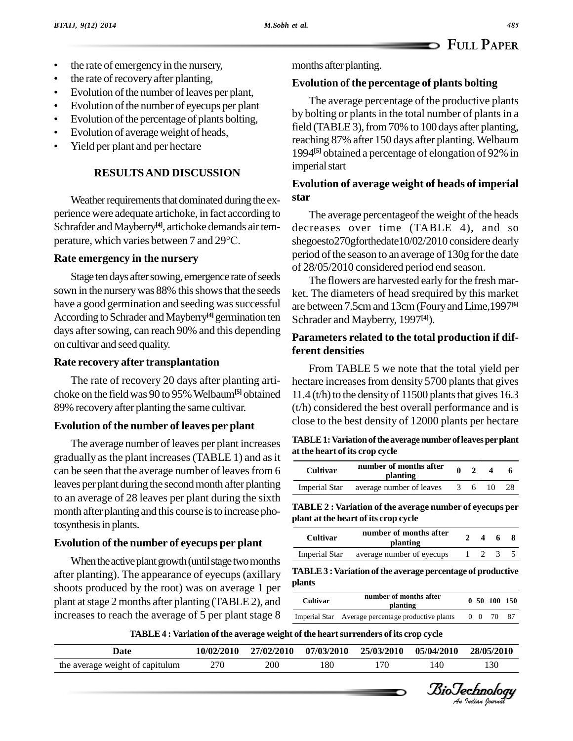- the rate of emergency in the nursery,
- the rate of recovery after planting,
- It is the rate of recovery after planting,<br>Evolution of the number of leaves per plant,
- Ivolution of the number of leaves per plant,<br>Evolution of the number of eyecups per plant Evolution of the number of eyecups per plant
- Evolution of the percentage of plants bolting,<br>Evolution of average weight of heads,
- 
- Yield per plant and per hectare

### **RESULTSAND DISCUSSION**

Weather requirements that dominated during the experience were adequate artichoke, in fact according to Schrafder and Mayberry<sup>[4]</sup>, artichoke demands air tem-<br>dec perience were adequate artichoke, in fact accordin<br>Schrafder and Mayberry<sup>[4]</sup>, artichoke demands air<br>perature, which varies between 7 and 29°C.

#### **Rate emergency in the nursery**

Stage ten days after sowing, emergence rate of seeds sown in the nursery was 88% this shows that the seeds have a good germination and seeding was successful According to Schrader and Mayberry<sup>[4]</sup> germination ten Schrad days after sowing, can reach 90% and this depending on cultivar and seed quality.

#### **Rate recovery after transplantation**

The rate of recovery 20 days after planting arti choke on the fieldwas 90 to 95%Welbaum**[5]** obtained 89% recovery after planting the same cultivar.

### **Evolution of the number of leaves per plant**

The average number of leaves per plant increases gradually asthe plant increases(TABLE 1) and asit can be seen that the average number of leaves from 6 leaves per plant during the second month after planting to an average of 28 leaves per plant during the sixth month after planting and this course isto increase photosynthesis in plants.

### **Evolution of the number of eyecups per plant**

When the active plant growth (until stage two months after planting). The appearance of eyecups(axillary shoots produced by the root) was on average 1 per plant atstage 2 months after planting (TABLE 2), and increases to reach the average of 5 per plant stage 8

months after planting.

#### **Evolution of the percentage of plants bolting**

The average percentage of the productive plants by bolting or plants in the total number of plants in a field (TABLE 3), from 70% to 100 days after planting, reaching 87% after 150 days after planting.Welbaum 1994 **[5]** obtained a percentage of elongation of 92% in imperial start

## **Evolution of average weight of heads of imperial star**

The average percentageof the weight of the heads decreases over time (TABLE 4), and so shegoesto270gforthedate10/02/2010 considere dearly period of the season to an average of 130g for the date of 28/05/2010 considered period end season.

The flowers are harvested early for the fresh market. The diameters of head srequired by this market are between 7.5cmand 13cm(FouryandLime,1997 **[6]** Schrader and Mayberry, 1997 **[4]**).

## **Parameters related to the total production if different densities**

From TABLE 5 we note that the total yield per hectare increases from density 5700 plants that gives 11.4 (t/h) to the density of 11500 plants that gives  $16.3$ (t/h) considered the best overall performance and is close to the best density of 12000 plants per hectare

| TABLE 1: Variation of the average number of leaves per plant |  |
|--------------------------------------------------------------|--|
| at the heart of its crop cycle                               |  |

| <b>Cultivar</b> | number of months after<br>planting     |  |    |  |
|-----------------|----------------------------------------|--|----|--|
|                 | Imperial Star average number of leaves |  | 36 |  |

**TABLE 2 : Variation of the average number of eyecups per plant atthe heart of its crop cycle**

| Cultivar | number of months after<br>planting      |             | 468 |  |
|----------|-----------------------------------------|-------------|-----|--|
|          | Imperial Star average number of eyecups | $1 \t2 \t3$ |     |  |

e<br>Biotechnology<br>Charles Communication of the Communication of the Communication of the Communication of the Communication of t BioTechnology**TABLE3 :Variation ofthe average percentage of productive plants**

| Cultivar | number of months after<br>planting                 |  | 0, 50, 100, 150 |     |
|----------|----------------------------------------------------|--|-----------------|-----|
|          | Imperial Star Average percentage productive plants |  | 0 0 70          | -87 |

#### **TABLE4 : Variation of the average weight of the heartsurrenders of its crop cycle**

| Date                            | 10/02/2010 | 27/02/2010 | 07/03/2010 | 25/03/2010 | 05/04/2010 | 28/05/2010 |
|---------------------------------|------------|------------|------------|------------|------------|------------|
| the average weight of capitulum | 270        | 200        | 180        | l 70       |            | 130        |

*Indian Journal*